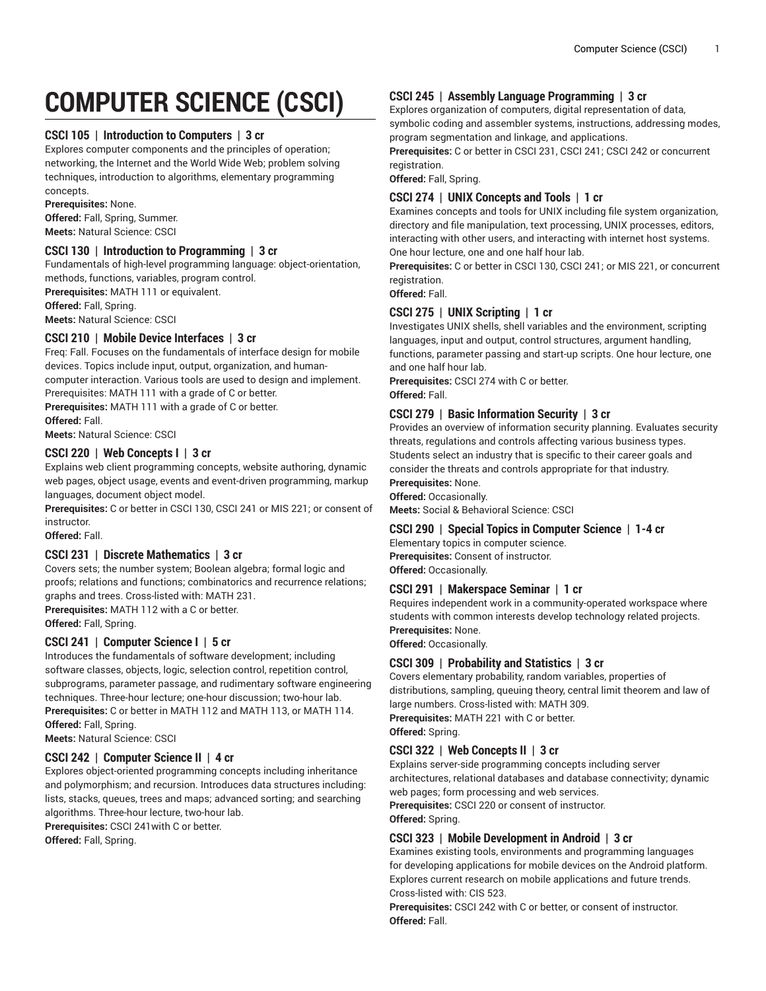# **COMPUTER SCIENCE (CSCI)**

## **CSCI 105 | Introduction to Computers | 3 cr**

Explores computer components and the principles of operation; networking, the Internet and the World Wide Web; problem solving techniques, introduction to algorithms, elementary programming concepts.

**Prerequisites:** None. **Offered:** Fall, Spring, Summer. **Meets:** Natural Science: CSCI

# **CSCI 130 | Introduction to Programming | 3 cr**

Fundamentals of high-level programming language: object-orientation, methods, functions, variables, program control.

**Prerequisites:** MATH 111 or equivalent.

**Offered:** Fall, Spring.

**Meets:** Natural Science: CSCI

# **CSCI 210 | Mobile Device Interfaces | 3 cr**

Freq: Fall. Focuses on the fundamentals of interface design for mobile devices. Topics include input, output, organization, and humancomputer interaction. Various tools are used to design and implement. Prerequisites: MATH 111 with a grade of C or better.

**Prerequisites:** MATH 111 with a grade of C or better.

**Offered:** Fall.

**Meets:** Natural Science: CSCI

# **CSCI 220 | Web Concepts I | 3 cr**

Explains web client programming concepts, website authoring, dynamic web pages, object usage, events and event-driven programming, markup languages, document object model.

**Prerequisites:** C or better in CSCI 130, CSCI 241 or MIS 221; or consent of instructor.

**Offered:** Fall.

#### **CSCI 231 | Discrete Mathematics | 3 cr**

Covers sets; the number system; Boolean algebra; formal logic and proofs; relations and functions; combinatorics and recurrence relations; graphs and trees. Cross-listed with: MATH 231. **Prerequisites:** MATH 112 with a C or better.

**Offered:** Fall, Spring.

# **CSCI 241 | Computer Science I | 5 cr**

Introduces the fundamentals of software development; including software classes, objects, logic, selection control, repetition control, subprograms, parameter passage, and rudimentary software engineering techniques. Three-hour lecture; one-hour discussion; two-hour lab. **Prerequisites:** C or better in MATH 112 and MATH 113, or MATH 114. **Offered:** Fall, Spring.

**Meets:** Natural Science: CSCI

# **CSCI 242 | Computer Science II | 4 cr**

Explores object-oriented programming concepts including inheritance and polymorphism; and recursion. Introduces data structures including: lists, stacks, queues, trees and maps; advanced sorting; and searching algorithms. Three-hour lecture, two-hour lab. **Prerequisites:** CSCI 241with C or better.

**Offered:** Fall, Spring.

# **CSCI 245 | Assembly Language Programming | 3 cr**

Explores organization of computers, digital representation of data, symbolic coding and assembler systems, instructions, addressing modes, program segmentation and linkage, and applications.

**Prerequisites:** C or better in CSCI 231, CSCI 241; CSCI 242 or concurrent registration.

**Offered:** Fall, Spring.

# **CSCI 274 | UNIX Concepts and Tools | 1 cr**

Examines concepts and tools for UNIX including file system organization, directory and file manipulation, text processing, UNIX processes, editors, interacting with other users, and interacting with internet host systems. One hour lecture, one and one half hour lab.

**Prerequisites:** C or better in CSCI 130, CSCI 241; or MIS 221, or concurrent registration.

**Offered:** Fall.

# **CSCI 275 | UNIX Scripting | 1 cr**

Investigates UNIX shells, shell variables and the environment, scripting languages, input and output, control structures, argument handling, functions, parameter passing and start-up scripts. One hour lecture, one and one half hour lab.

**Prerequisites:** CSCI 274 with C or better. **Offered:** Fall.

# **CSCI 279 | Basic Information Security | 3 cr**

Provides an overview of information security planning. Evaluates security threats, regulations and controls affecting various business types. Students select an industry that is specific to their career goals and consider the threats and controls appropriate for that industry.

# **Prerequisites:** None.

**Offered:** Occasionally. **Meets:** Social & Behavioral Science: CSCI

# **CSCI 290 | Special Topics in Computer Science | 1-4 cr**

Elementary topics in computer science. **Prerequisites:** Consent of instructor. **Offered:** Occasionally.

#### **CSCI 291 | Makerspace Seminar | 1 cr**

Requires independent work in a community-operated workspace where students with common interests develop technology related projects. **Prerequisites:** None.

**Offered:** Occasionally.

# **CSCI 309 | Probability and Statistics | 3 cr**

Covers elementary probability, random variables, properties of distributions, sampling, queuing theory, central limit theorem and law of large numbers. Cross-listed with: MATH 309. **Prerequisites:** MATH 221 with C or better.

**Offered:** Spring.

# **CSCI 322 | Web Concepts II | 3 cr**

Explains server-side programming concepts including server architectures, relational databases and database connectivity; dynamic web pages; form processing and web services.

**Prerequisites:** CSCI 220 or consent of instructor.

#### **Offered:** Spring.

# **CSCI 323 | Mobile Development in Android | 3 cr**

Examines existing tools, environments and programming languages for developing applications for mobile devices on the Android platform. Explores current research on mobile applications and future trends. Cross-listed with: CIS 523.

**Prerequisites:** CSCI 242 with C or better, or consent of instructor. **Offered:** Fall.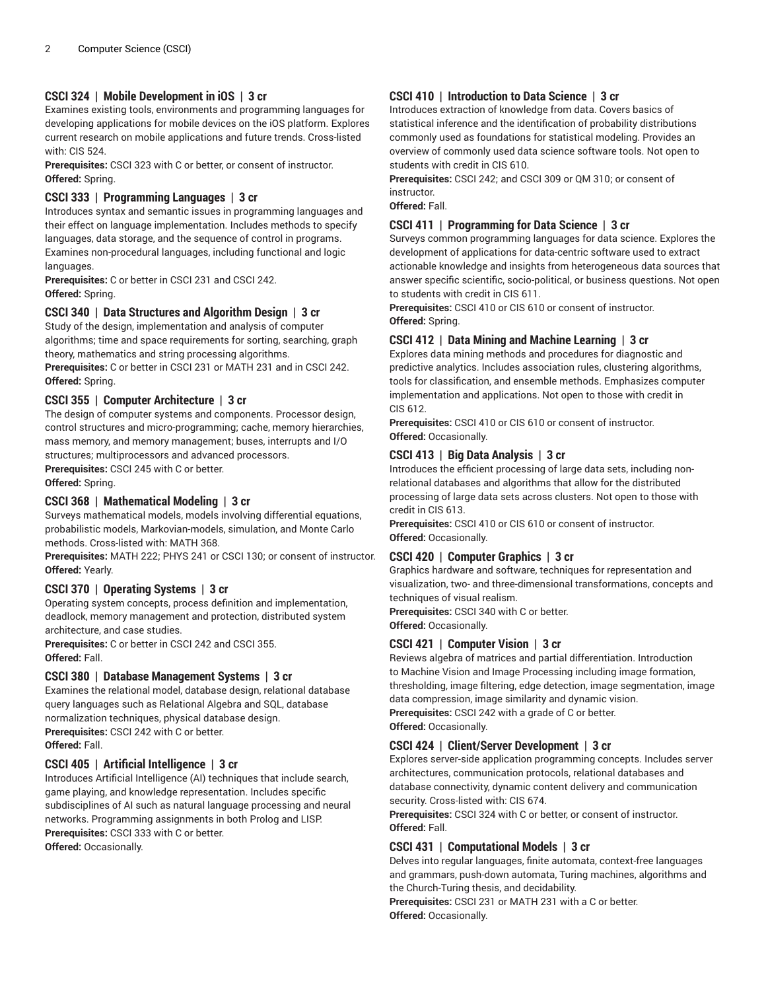# **CSCI 324 | Mobile Development in iOS | 3 cr**

Examines existing tools, environments and programming languages for developing applications for mobile devices on the iOS platform. Explores current research on mobile applications and future trends. Cross-listed with: CIS 524.

**Prerequisites:** CSCI 323 with C or better, or consent of instructor. **Offered:** Spring.

# **CSCI 333 | Programming Languages | 3 cr**

Introduces syntax and semantic issues in programming languages and their effect on language implementation. Includes methods to specify languages, data storage, and the sequence of control in programs. Examines non-procedural languages, including functional and logic languages.

**Prerequisites:** C or better in CSCI 231 and CSCI 242. **Offered:** Spring.

# **CSCI 340 | Data Structures and Algorithm Design | 3 cr**

Study of the design, implementation and analysis of computer algorithms; time and space requirements for sorting, searching, graph theory, mathematics and string processing algorithms.

**Prerequisites:** C or better in CSCI 231 or MATH 231 and in CSCI 242. **Offered:** Spring.

# **CSCI 355 | Computer Architecture | 3 cr**

The design of computer systems and components. Processor design, control structures and micro-programming; cache, memory hierarchies, mass memory, and memory management; buses, interrupts and I/O structures; multiprocessors and advanced processors.

**Prerequisites:** CSCI 245 with C or better.

**Offered:** Spring.

# **CSCI 368 | Mathematical Modeling | 3 cr**

Surveys mathematical models, models involving differential equations, probabilistic models, Markovian-models, simulation, and Monte Carlo methods. Cross-listed with: MATH 368.

**Prerequisites:** MATH 222; PHYS 241 or CSCI 130; or consent of instructor. **Offered:** Yearly.

#### **CSCI 370 | Operating Systems | 3 cr**

Operating system concepts, process definition and implementation, deadlock, memory management and protection, distributed system architecture, and case studies.

**Prerequisites:** C or better in CSCI 242 and CSCI 355. **Offered:** Fall.

#### **CSCI 380 | Database Management Systems | 3 cr**

Examines the relational model, database design, relational database query languages such as Relational Algebra and SQL, database normalization techniques, physical database design. **Prerequisites:** CSCI 242 with C or better. **Offered:** Fall.

#### **CSCI 405 | Artificial Intelligence | 3 cr**

Introduces Artificial Intelligence (AI) techniques that include search, game playing, and knowledge representation. Includes specific subdisciplines of AI such as natural language processing and neural networks. Programming assignments in both Prolog and LISP. **Prerequisites:** CSCI 333 with C or better. **Offered:** Occasionally.

# **CSCI 410 | Introduction to Data Science | 3 cr**

Introduces extraction of knowledge from data. Covers basics of statistical inference and the identification of probability distributions commonly used as foundations for statistical modeling. Provides an overview of commonly used data science software tools. Not open to students with credit in CIS 610.

**Prerequisites:** CSCI 242; and CSCI 309 or QM 310; or consent of instructor.

**Offered:** Fall.

#### **CSCI 411 | Programming for Data Science | 3 cr**

Surveys common programming languages for data science. Explores the development of applications for data-centric software used to extract actionable knowledge and insights from heterogeneous data sources that answer specific scientific, socio-political, or business questions. Not open to students with credit in CIS 611.

**Prerequisites:** CSCI 410 or CIS 610 or consent of instructor. **Offered:** Spring.

## **CSCI 412 | Data Mining and Machine Learning | 3 cr**

Explores data mining methods and procedures for diagnostic and predictive analytics. Includes association rules, clustering algorithms, tools for classification, and ensemble methods. Emphasizes computer implementation and applications. Not open to those with credit in CIS 612.

**Prerequisites:** CSCI 410 or CIS 610 or consent of instructor. **Offered:** Occasionally.

# **CSCI 413 | Big Data Analysis | 3 cr**

Introduces the efficient processing of large data sets, including nonrelational databases and algorithms that allow for the distributed processing of large data sets across clusters. Not open to those with credit in CIS 613.

**Prerequisites:** CSCI 410 or CIS 610 or consent of instructor. **Offered:** Occasionally.

# **CSCI 420 | Computer Graphics | 3 cr**

Graphics hardware and software, techniques for representation and visualization, two- and three-dimensional transformations, concepts and techniques of visual realism.

**Prerequisites:** CSCI 340 with C or better. **Offered:** Occasionally.

# **CSCI 421 | Computer Vision | 3 cr**

Reviews algebra of matrices and partial differentiation. Introduction to Machine Vision and Image Processing including image formation, thresholding, image filtering, edge detection, image segmentation, image data compression, image similarity and dynamic vision. **Prerequisites:** CSCI 242 with a grade of C or better. **Offered:** Occasionally.

# **CSCI 424 | Client/Server Development | 3 cr**

Explores server-side application programming concepts. Includes server architectures, communication protocols, relational databases and database connectivity, dynamic content delivery and communication security. Cross-listed with: CIS 674.

**Prerequisites:** CSCI 324 with C or better, or consent of instructor. **Offered:** Fall.

# **CSCI 431 | Computational Models | 3 cr**

Delves into regular languages, finite automata, context-free languages and grammars, push-down automata, Turing machines, algorithms and the Church-Turing thesis, and decidability.

**Prerequisites:** CSCI 231 or MATH 231 with a C or better. **Offered:** Occasionally.